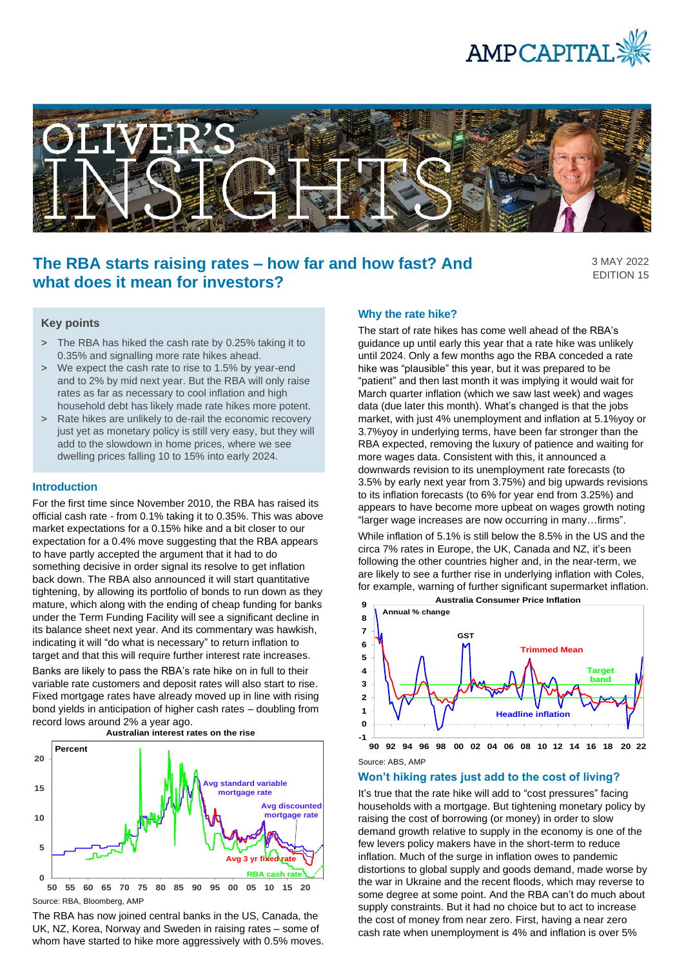



# **The RBA starts raising rates – how far and how fast? And what does it mean for investors?**

3 MAY 2022 EDITION 15

## **Key points**

- > The RBA has hiked the cash rate by 0.25% taking it to 0.35% and signalling more rate hikes ahead.
- > We expect the cash rate to rise to 1.5% by year-end and to 2% by mid next year. But the RBA will only raise rates as far as necessary to cool inflation and high household debt has likely made rate hikes more potent.
- > Rate hikes are unlikely to de-rail the economic recovery just yet as monetary policy is still very easy, but they will add to the slowdown in home prices, where we see dwelling prices falling 10 to 15% into early 2024.

#### **Introduction**

For the first time since November 2010, the RBA has raised its official cash rate - from 0.1% taking it to 0.35%. This was above market expectations for a 0.15% hike and a bit closer to our expectation for a 0.4% move suggesting that the RBA appears to have partly accepted the argument that it had to do something decisive in order signal its resolve to get inflation back down. The RBA also announced it will start quantitative tightening, by allowing its portfolio of bonds to run down as they mature, which along with the ending of cheap funding for banks under the Term Funding Facility will see a significant decline in its balance sheet next year. And its commentary was hawkish, indicating it will "do what is necessary" to return inflation to target and that this will require further interest rate increases.

Banks are likely to pass the RBA's rate hike on in full to their variable rate customers and deposit rates will also start to rise. Fixed mortgage rates have already moved up in line with rising bond yields in anticipation of higher cash rates – doubling from record lows around 2% a year ago.



The RBA has now joined central banks in the US, Canada, the UK, NZ, Korea, Norway and Sweden in raising rates – some of whom have started to hike more aggressively with 0.5% moves.

#### **Why the rate hike?**

The start of rate hikes has come well ahead of the RBA's guidance up until early this year that a rate hike was unlikely until 2024. Only a few months ago the RBA conceded a rate hike was "plausible" this year, but it was prepared to be "patient" and then last month it was implying it would wait for March quarter inflation (which we saw last week) and wages data (due later this month). What's changed is that the jobs market, with just 4% unemployment and inflation at 5.1%yoy or 3.7%yoy in underlying terms, have been far stronger than the RBA expected, removing the luxury of patience and waiting for more wages data. Consistent with this, it announced a downwards revision to its unemployment rate forecasts (to 3.5% by early next year from 3.75%) and big upwards revisions to its inflation forecasts (to 6% for year end from 3.25%) and appears to have become more upbeat on wages growth noting "larger wage increases are now occurring in many…firms".

While inflation of 5.1% is still below the 8.5% in the US and the circa 7% rates in Europe, the UK, Canada and NZ, it's been following the other countries higher and, in the near-term, we are likely to see a further rise in underlying inflation with Coles, for example, warning of further significant supermarket inflation.



Source: ABS, AMP **90 92 94 96 98 00 02 04 06 08 10 12 14 16 18 20 22**

#### **Won't hiking rates just add to the cost of living?**

It's true that the rate hike will add to "cost pressures" facing households with a mortgage. But tightening monetary policy by raising the cost of borrowing (or money) in order to slow demand growth relative to supply in the economy is one of the few levers policy makers have in the short-term to reduce inflation. Much of the surge in inflation owes to pandemic distortions to global supply and goods demand, made worse by the war in Ukraine and the recent floods, which may reverse to some degree at some point. And the RBA can't do much about supply constraints. But it had no choice but to act to increase the cost of money from near zero. First, having a near zero cash rate when unemployment is 4% and inflation is over 5%